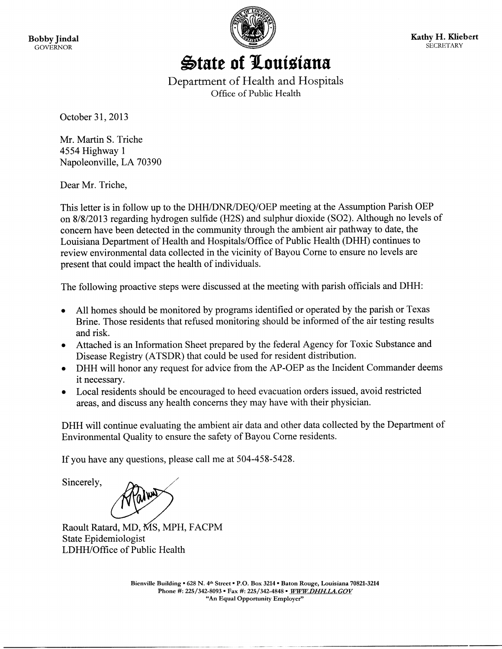

State of Louisiana

Department of Health and Hospitals Office of Public Health

October 31, 2013

Mr. Martin S. Triche 4554 Highway 1 Napoleonville, LA 70390

Dear Mr. Triche,

This letter is in follow up to the DHH/DNR/DEQ/OEP meeting at the Assumption Parish OEP on 8/8/2013 regarding hydrogen sulfide (H2S) and sulphur dioxide (SO2). Although no levels of concern have been detected in the community through the ambient air pathway to date, the Louisiana Department of Health and Hospitals/Office of Public Health (DHH) continues to review environmental data collected in the vicinity of Bayou Corne to ensure no levels are present that could impact the health of individuals.

The following proactive steps were discussed at the meeting with parish officials and DHH:

- All homes should be monitored by programs identified or operated by the parish or Texas Brine. Those residents that refused monitoring should be informed of the air testing results and risk.
- Attached is an Information Sheet prepared by the federal Agency for Toxic Substance and Disease Registry (ATSDR) that could be used for resident distribution.
- DHH will honor any request for advice from the AP-OEP as the Incident Commander deems it necessary.
- Local residents should be encouraged to heed evacuation orders issued, avoid restricted areas, and discuss any health concerns they may have with their physician.

DHH will continue evaluating the ambient air data and other data collected by the Department of Environmental Quality to ensure the safety of Bayou Corne residents.

If you have any questions, please call me at 504-458-5428.

Sincerely,

Raoult Ratard, MD, MS, MPH, FACPM State Epidemiologist LDHH/Office of Public Health

> Bienville Building • 628 N. 4th Street • P.O. Box 3214 • Baton Rouge, Louisiana 70821-3214 Phone #: 225/342-8093 · Fax #: 225/342-4848 · WWW.DHH.LA.GOV "An Equal Opportunity Employer"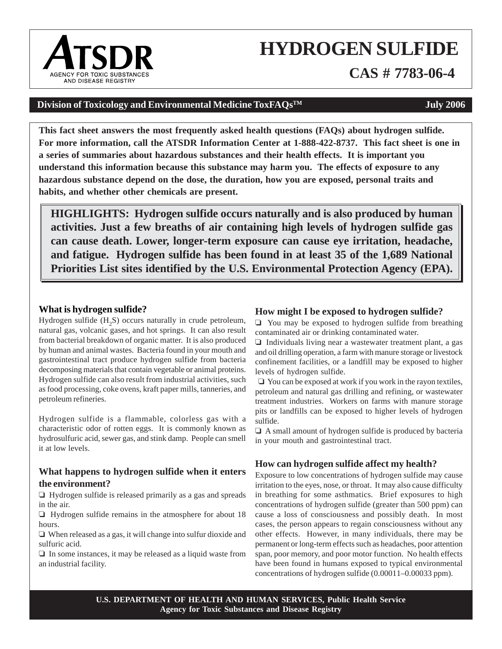# **HYDROGEN SULFIDE**

**CAS # 7783-06-4**

### **Division of Toxicology and Environmental Medicine ToxFAQs<sup>TM</sup> <b>July 2006**

**This fact sheet answers the most frequently asked health questions (FAQs) about hydrogen sulfide. For more information, call the ATSDR Information Center at 1-888-422-8737. This fact sheet is one in a series of summaries about hazardous substances and their health effects. It is important you understand this information because this substance may harm you. The effects of exposure to any hazardous substance depend on the dose, the duration, how you are exposed, personal traits and habits, and whether other chemicals are present.**

**HIGHLIGHTS: Hydrogen sulfide occurs naturally and is also produced by human activities. Just a few breaths of air containing high levels of hydrogen sulfide gas can cause death. Lower, longer-term exposure can cause eye irritation, headache, and fatigue. Hydrogen sulfide has been found in at least 35 of the 1,689 National Priorities List sites identified by the U.S. Environmental Protection Agency (EPA).**

#### **What is hydrogen sulfide?**

Hydrogen sulfide  $(H<sub>2</sub>S)$  occurs naturally in crude petroleum, natural gas, volcanic gases, and hot springs. It can also result from bacterial breakdown of organic matter. It is also produced by human and animal wastes. Bacteria found in your mouth and gastrointestinal tract produce hydrogen sulfide from bacteria decomposing materials that contain vegetable or animal proteins. Hydrogen sulfide can also result from industrial activities, such as food processing, coke ovens, kraft paper mills, tanneries, and petroleum refineries.

Hydrogen sulfide is a flammable, colorless gas with a characteristic odor of rotten eggs. It is commonly known as hydrosulfuric acid, sewer gas, and stink damp. People can smell it at low levels.

#### **What happens to hydrogen sulfide when it enters the environment?**

 $\Box$  Hydrogen sulfide is released primarily as a gas and spreads in the air.

 $\Box$  Hydrogen sulfide remains in the atmosphere for about 18 hours.

 $\Box$  When released as a gas, it will change into sulfur dioxide and sulfuric acid.

 $\Box$  In some instances, it may be released as a liquid waste from an industrial facility.

#### **How might I be exposed to hydrogen sulfide?**

 $\Box$  You may be exposed to hydrogen sulfide from breathing contaminated air or drinking contaminated water.

 $\Box$  Individuals living near a wastewater treatment plant, a gas and oil drilling operation, a farm with manure storage or livestock confinement facilities, or a landfill may be exposed to higher levels of hydrogen sulfide.

 $\Box$  You can be exposed at work if you work in the rayon textiles, petroleum and natural gas drilling and refining, or wastewater treatment industries. Workers on farms with manure storage pits or landfills can be exposed to higher levels of hydrogen sulfide.

 $\Box$  A small amount of hydrogen sulfide is produced by bacteria in your mouth and gastrointestinal tract.

#### **How can hydrogen sulfide affect my health?**

Exposure to low concentrations of hydrogen sulfide may cause irritation to the eyes, nose, or throat. It may also cause difficulty in breathing for some asthmatics. Brief exposures to high concentrations of hydrogen sulfide (greater than 500 ppm) can cause a loss of consciousness and possibly death. In most cases, the person appears to regain consciousness without any other effects. However, in many individuals, there may be permanent or long-term effects such as headaches, poor attention span, poor memory, and poor motor function. No health effects have been found in humans exposed to typical environmental concentrations of hydrogen sulfide (0.00011–0.00033 ppm).

**U.S. DEPARTMENT OF HEALTH AND HUMAN SERVICES, Public Health Service Agency for Toxic Substances and Disease Registry**